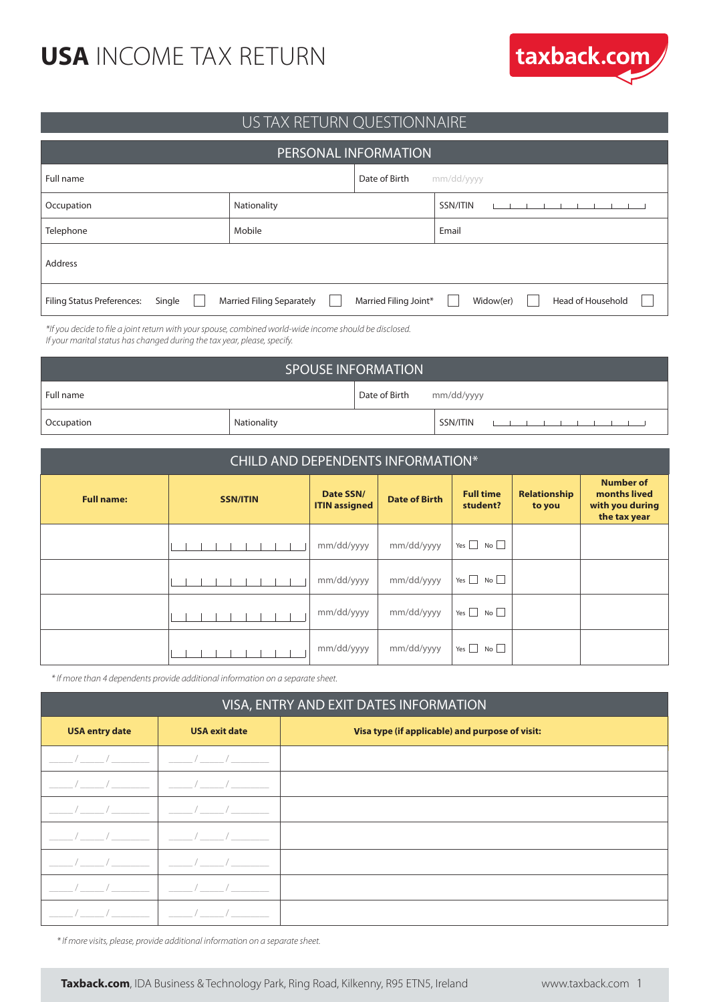

#### US TAX RETURN QUESTIONNAIRE

| <b>PERSONAL INFORMATION</b>                 |                                  |                       |                                |  |  |
|---------------------------------------------|----------------------------------|-----------------------|--------------------------------|--|--|
| Full name                                   |                                  | Date of Birth         | mm/dd/yyyy                     |  |  |
| Occupation                                  | Nationality                      |                       | SSN/ITIN                       |  |  |
| Telephone                                   | Mobile                           |                       | Email                          |  |  |
| <b>Address</b>                              |                                  |                       |                                |  |  |
| <b>Filing Status Preferences:</b><br>Single | <b>Married Filing Separately</b> | Married Filing Joint* | Head of Household<br>Widow(er) |  |  |

*\*If you decide to file a joint return with your spouse, combined world-wide income should be disclosed. If your marital status has changed during the tax year, please, specify.*

| <b>SPOUSE INFORMATION</b> |             |                          |          |   |
|---------------------------|-------------|--------------------------|----------|---|
| l Full name               |             | Date of Birth mm/dd/yyyy |          |   |
| Occupation                | Nationality |                          | SSN/ITIN | . |

| CHILD AND DEPENDENTS INFORMATION* |                 |                                   |                      |                              |                        |                                                                     |
|-----------------------------------|-----------------|-----------------------------------|----------------------|------------------------------|------------------------|---------------------------------------------------------------------|
| <b>Full name:</b>                 | <b>SSN/ITIN</b> | Date SSN/<br><b>ITIN</b> assigned | <b>Date of Birth</b> | <b>Full time</b><br>student? | Relationship<br>to you | <b>Number of</b><br>months lived<br>with you during<br>the tax year |
|                                   |                 | mm/dd/yyyy                        | mm/dd/yyyy           | Yes $\Box$ No $\Box$         |                        |                                                                     |
|                                   |                 | mm/dd/yyyy                        | mm/dd/yyyy           | Yes $\Box$ No $\Box$         |                        |                                                                     |
|                                   |                 | mm/dd/yyyy                        | mm/dd/yyyy           | Yes $\Box$ No $\Box$         |                        |                                                                     |
|                                   |                 | mm/dd/yyyy                        | mm/dd/yyyy           | Yes $\Box$ No $\Box$         |                        |                                                                     |

*\* If more than 4 dependents provide additional information on a separate sheet.*

| VISA, ENTRY AND EXIT DATES INFORMATION |                      |                                                 |  |
|----------------------------------------|----------------------|-------------------------------------------------|--|
| <b>USA entry date</b>                  | <b>USA exit date</b> | Visa type (if applicable) and purpose of visit: |  |
|                                        |                      |                                                 |  |
|                                        |                      |                                                 |  |
|                                        |                      |                                                 |  |
|                                        |                      |                                                 |  |
|                                        |                      |                                                 |  |
|                                        |                      |                                                 |  |
|                                        |                      |                                                 |  |

*\* If more visits, please, provide additional information on a separate sheet.*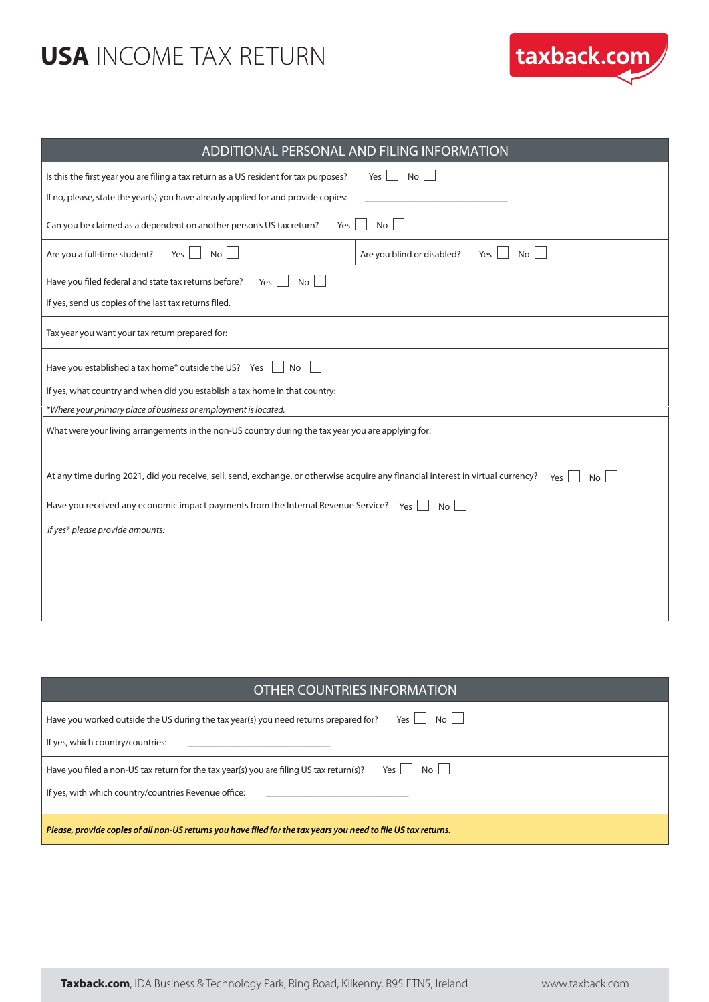

| ADDITIONAL PERSONAL AND FILING INFORMATION                                                                                                     |  |  |  |
|------------------------------------------------------------------------------------------------------------------------------------------------|--|--|--|
| Is this the first year you are filing a tax return as a US resident for tax purposes?<br>No<br>Yes                                             |  |  |  |
| If no, please, state the year(s) you have already applied for and provide copies:                                                              |  |  |  |
| <b>No</b><br>Can you be claimed as a dependent on another person's US tax return?<br>Yes                                                       |  |  |  |
| Are you a full-time student?<br>No<br>No<br>Are you blind or disabled?<br>Yes<br>Yes                                                           |  |  |  |
| Have you filed federal and state tax returns before?<br><b>No</b><br>Yes                                                                       |  |  |  |
| If yes, send us copies of the last tax returns filed.                                                                                          |  |  |  |
| Tax year you want your tax return prepared for:                                                                                                |  |  |  |
| Have you established a tax home* outside the US? Yes<br>No                                                                                     |  |  |  |
| If yes, what country and when did you establish a tax home in that country:                                                                    |  |  |  |
| *Where your primary place of business or employment is located.                                                                                |  |  |  |
| What were your living arrangements in the non-US country during the tax year you are applying for:                                             |  |  |  |
| At any time during 2021, did you receive, sell, send, exchange, or otherwise acquire any financial interest in virtual currency?<br>Yes<br>No. |  |  |  |
| Have you received any economic impact payments from the Internal Revenue Service? $Y_{\text{es}}$<br>No <sub>1</sub>                           |  |  |  |
| If yes* please provide amounts:                                                                                                                |  |  |  |
|                                                                                                                                                |  |  |  |
|                                                                                                                                                |  |  |  |
|                                                                                                                                                |  |  |  |
|                                                                                                                                                |  |  |  |

| <b>OTHER COUNTRIES INFORMATION</b>                                                                             |
|----------------------------------------------------------------------------------------------------------------|
| No II<br>Have you worked outside the US during the tax year(s) you need returns prepared for?<br>Yes           |
| If yes, which country/countries:                                                                               |
| $Yes \mid No \mid$<br>Have you filed a non-US tax return for the tax year(s) you are filing US tax return(s)?  |
| If yes, with which country/countries Revenue office:                                                           |
| Please, provide copies of all non-US returns you have filed for the tax years you need to file US tax returns. |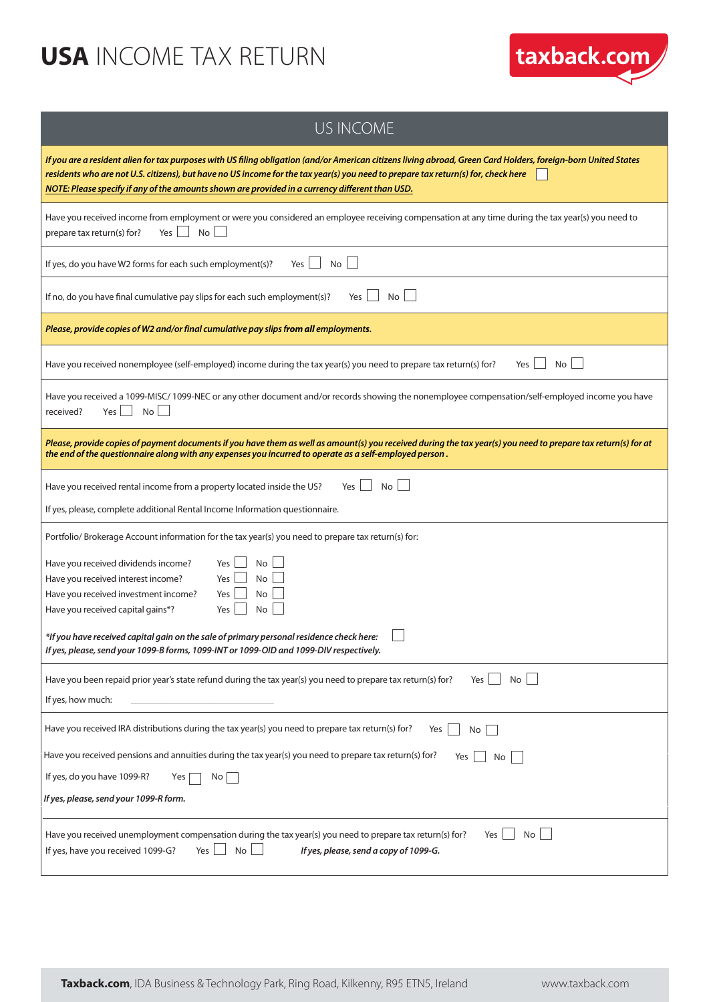

| <b>US INCOME</b>                                                                                                                                                                                                                                                                                                                                                                                       |
|--------------------------------------------------------------------------------------------------------------------------------------------------------------------------------------------------------------------------------------------------------------------------------------------------------------------------------------------------------------------------------------------------------|
| If you are a resident alien for tax purposes with US filing obligation (and/or American citizens living abroad, Green Card Holders, foreign-born United States<br>residents who are not U.S. citizens), but have no US income for the tax year(s) you need to prepare tax return(s) for, check here<br>NOTE: Please specify if any of the amounts shown are provided in a currency different than USD. |
| Have you received income from employment or were you considered an employee receiving compensation at any time during the tax year(s) you need to<br>No<br>Yes<br>prepare tax return(s) for?                                                                                                                                                                                                           |
| No<br>If yes, do you have W2 forms for each such employment(s)?<br>Yes                                                                                                                                                                                                                                                                                                                                 |
| If no, do you have final cumulative pay slips for each such employment(s)?<br>No<br>Yes                                                                                                                                                                                                                                                                                                                |
| Please, provide copies of W2 and/or final cumulative pay slips from all employments.                                                                                                                                                                                                                                                                                                                   |
| Have you received nonemployee (self-employed) income during the tax year(s) you need to prepare tax return(s) for?<br>Yes<br>No                                                                                                                                                                                                                                                                        |
| Have you received a 1099-MISC/ 1099-NEC or any other document and/or records showing the nonemployee compensation/self-employed income you have<br>$Yes \mid No \mid$<br>received?                                                                                                                                                                                                                     |
| Please, provide copies of payment documents if you have them as well as amount(s) you received during the tax year(s) you need to prepare tax return(s) for at<br>the end of the questionnaire along with any expenses you incurred to operate as a self-employed person.                                                                                                                              |
| No<br>Have you received rental income from a property located inside the US?<br>Yes                                                                                                                                                                                                                                                                                                                    |
| If yes, please, complete additional Rental Income Information questionnaire.                                                                                                                                                                                                                                                                                                                           |
| Portfolio/Brokerage Account information for the tax year(s) you need to prepare tax return(s) for:                                                                                                                                                                                                                                                                                                     |
| Have you received dividends income?<br>Yes<br>No<br>Have you received interest income?<br>Yes<br>No<br>Have you received investment income?<br><b>No</b><br>Yes<br>No<br>Have you received capital gains*?<br>Yes                                                                                                                                                                                      |
| *If you have received capital gain on the sale of primary personal residence check here:<br>If yes, please, send your 1099-B forms, 1099-INT or 1099-OID and 1099-DIV respectively.                                                                                                                                                                                                                    |
| Have you been repaid prior year's state refund during the tax year(s) you need to prepare tax return(s) for?<br>No<br>Yes<br>If yes, how much:                                                                                                                                                                                                                                                         |
| Have you received IRA distributions during the tax year(s) you need to prepare tax return(s) for?<br>Yes<br>No                                                                                                                                                                                                                                                                                         |
| Have you received pensions and annuities during the tax year(s) you need to prepare tax return(s) for?<br>Yes<br>No                                                                                                                                                                                                                                                                                    |
| If yes, do you have 1099-R?<br>Yes<br>No                                                                                                                                                                                                                                                                                                                                                               |
| If yes, please, send your 1099-R form.                                                                                                                                                                                                                                                                                                                                                                 |
| Have you received unemployment compensation during the tax year(s) you need to prepare tax return(s) for?<br>No <sub>1</sub><br>Yes<br>No<br>If yes, have you received 1099-G?<br>Yes $\vert$<br>If yes, please, send a copy of 1099-G.                                                                                                                                                                |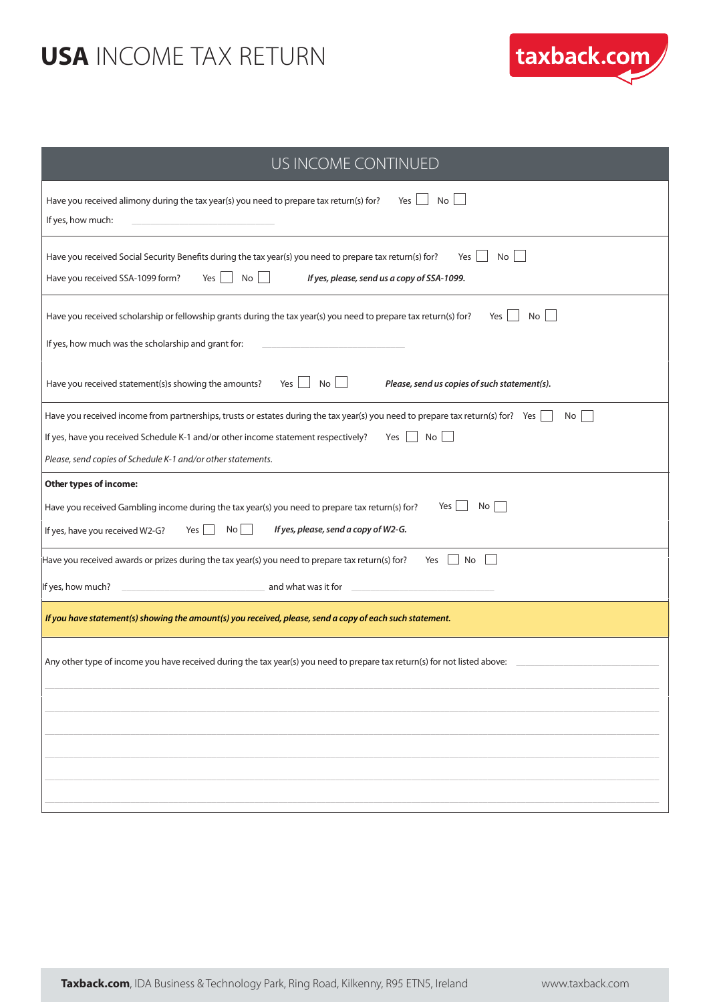

| US INCOME CONTINUED                                                                                                                                                                                                                                                                                               |
|-------------------------------------------------------------------------------------------------------------------------------------------------------------------------------------------------------------------------------------------------------------------------------------------------------------------|
| Have you received alimony during the tax year(s) you need to prepare tax return(s) for?<br>Yes  <br>No<br>If yes, how much:                                                                                                                                                                                       |
| Have you received Social Security Benefits during the tax year(s) you need to prepare tax return(s) for?<br>No<br>Yes<br>$No$    <br>Have you received SSA-1099 form?<br>Yes<br>If yes, please, send us a copy of SSA-1099.                                                                                       |
| Have you received scholarship or fellowship grants during the tax year(s) you need to prepare tax return(s) for?<br>Yes<br>No<br>If yes, how much was the scholarship and grant for:                                                                                                                              |
| Have you received statement(s)s showing the amounts?<br>Yes $\vert$ No $\vert$ $\vert$<br>Please, send us copies of such statement(s).                                                                                                                                                                            |
| Have you received income from partnerships, trusts or estates during the tax year(s) you need to prepare tax return(s) for? Yes<br>No<br>$Yes \mid No \mid$<br>If yes, have you received Schedule K-1 and/or other income statement respectively?<br>Please, send copies of Schedule K-1 and/or other statements. |
| Other types of income:                                                                                                                                                                                                                                                                                            |
| Yes<br>No<br>Have you received Gambling income during the tax year(s) you need to prepare tax return(s) for?<br>If yes, please, send a copy of W2-G.<br>If yes, have you received W2-G?<br>$No$    <br>Yes                                                                                                        |
| Have you received awards or prizes during the tax year(s) you need to prepare tax return(s) for?<br>Yes<br>  No                                                                                                                                                                                                   |
| and what was it for<br>If yes, how much?                                                                                                                                                                                                                                                                          |
| If you have statement(s) showing the amount(s) you received, please, send a copy of each such statement.                                                                                                                                                                                                          |
| Any other type of income you have received during the tax year(s) you need to prepare tax return(s) for not listed above:                                                                                                                                                                                         |
|                                                                                                                                                                                                                                                                                                                   |
|                                                                                                                                                                                                                                                                                                                   |
|                                                                                                                                                                                                                                                                                                                   |
|                                                                                                                                                                                                                                                                                                                   |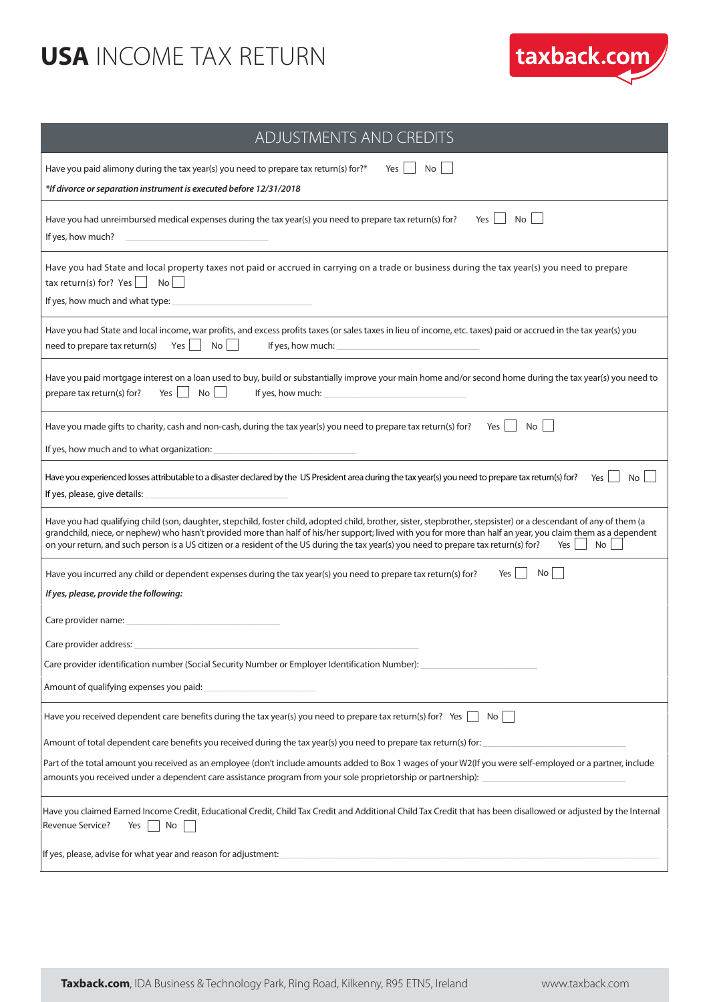

| ADJUSTMENTS AND CREDITS                                                                                                                                                                                                                                                                                                                                                                                                                                                                  |
|------------------------------------------------------------------------------------------------------------------------------------------------------------------------------------------------------------------------------------------------------------------------------------------------------------------------------------------------------------------------------------------------------------------------------------------------------------------------------------------|
| Have you paid alimony during the tax year(s) you need to prepare tax return(s) for?*<br>No  <br>Yes<br>*If divorce or separation instrument is executed before 12/31/2018                                                                                                                                                                                                                                                                                                                |
| Have you had unreimbursed medical expenses during the tax year(s) you need to prepare tax return(s) for?<br>No<br>Yes<br>If yes, how much?                                                                                                                                                                                                                                                                                                                                               |
| Have you had State and local property taxes not paid or accrued in carrying on a trade or business during the tax year(s) you need to prepare<br>tax return(s) for? Yes $\lfloor$<br>  No<br>If yes, how much and what type:                                                                                                                                                                                                                                                             |
| Have you had State and local income, war profits, and excess profits taxes (or sales taxes in lieu of income, etc. taxes) paid or accrued in the tax year(s) you<br>$Yes \tNo$<br>need to prepare tax return(s)<br>If yes, how much:                                                                                                                                                                                                                                                     |
| Have you paid mortgage interest on a loan used to buy, build or substantially improve your main home and/or second home during the tax year(s) you need to<br>No <sub>1</sub><br>If yes, how much:<br>prepare tax return(s) for?<br>Yes                                                                                                                                                                                                                                                  |
| Have you made gifts to charity, cash and non-cash, during the tax year(s) you need to prepare tax return(s) for?<br>No<br>Yes  <br>If yes, how much and to what organization:                                                                                                                                                                                                                                                                                                            |
| Have you experienced losses attributable to a disaster declared by the US President area during the tax year(s) you need to prepare tax return(s) for?<br>Yes<br>No<br>If yes, please, give details:                                                                                                                                                                                                                                                                                     |
| Have you had qualifying child (son, daughter, stepchild, foster child, adopted child, brother, sister, stepbrother, stepsister) or a descendant of any of them (a<br>grandchild, niece, or nephew) who hasn't provided more than half of his/her support; lived with you for more than half an year, you claim them as a dependent<br>on your return, and such person is a US citizen or a resident of the US during the tax year(s) you need to prepare tax return(s) for?<br>No<br>Yes |
| Yes<br><b>No</b><br>Have you incurred any child or dependent expenses during the tax year(s) you need to prepare tax return(s) for?<br>If yes, please, provide the following:                                                                                                                                                                                                                                                                                                            |
| Care provider name:                                                                                                                                                                                                                                                                                                                                                                                                                                                                      |
| Care provider address:<br>Care provider identification number (Social Security Number or Employer Identification Number):                                                                                                                                                                                                                                                                                                                                                                |
| Amount of qualifying expenses you paid:                                                                                                                                                                                                                                                                                                                                                                                                                                                  |
| Have you received dependent care benefits during the tax year(s) you need to prepare tax return(s) for? Yes<br>No                                                                                                                                                                                                                                                                                                                                                                        |
| Amount of total dependent care benefits you received during the tax year(s) you need to prepare tax return(s) for:                                                                                                                                                                                                                                                                                                                                                                       |
| Part of the total amount you received as an employee (don't include amounts added to Box 1 wages of your W2(If you were self-employed or a partner, include<br>amounts you received under a dependent care assistance program from your sole proprietorship or partnership):                                                                                                                                                                                                             |
| Have you claimed Earned Income Credit, Educational Credit, Child Tax Credit and Additional Child Tax Credit that has been disallowed or adjusted by the Internal<br>Revenue Service?<br>No<br>Yes                                                                                                                                                                                                                                                                                        |
| If yes, please, advise for what year and reason for adjustment:                                                                                                                                                                                                                                                                                                                                                                                                                          |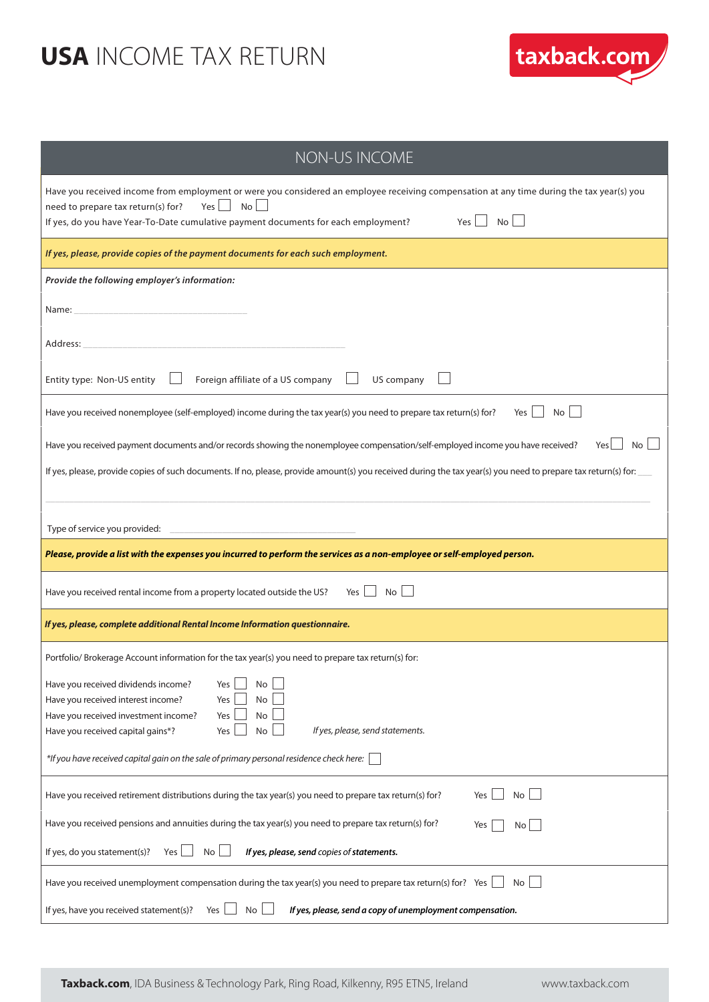

| NON-US INCOME                                                                                                                                                                                                                                                                                           |
|---------------------------------------------------------------------------------------------------------------------------------------------------------------------------------------------------------------------------------------------------------------------------------------------------------|
| Have you received income from employment or were you considered an employee receiving compensation at any time during the tax year(s) you<br>No<br>$Yes$    <br>need to prepare tax return(s) for?<br>No L<br>If yes, do you have Year-To-Date cumulative payment documents for each employment?<br>Yes |
| If yes, please, provide copies of the payment documents for each such employment.                                                                                                                                                                                                                       |
| Provide the following employer's information:                                                                                                                                                                                                                                                           |
| Name: _                                                                                                                                                                                                                                                                                                 |
| Address:                                                                                                                                                                                                                                                                                                |
| Entity type: Non-US entity<br>Foreign affiliate of a US company<br>US company                                                                                                                                                                                                                           |
| Have you received nonemployee (self-employed) income during the tax year(s) you need to prepare tax return(s) for?<br>Yes  <br>No l                                                                                                                                                                     |
| Have you received payment documents and/or records showing the nonemployee compensation/self-employed income you have received?<br>Yes                                                                                                                                                                  |
| If yes, please, provide copies of such documents. If no, please, provide amount(s) you received during the tax year(s) you need to prepare tax return(s) for:                                                                                                                                           |
| Type of service you provided:                                                                                                                                                                                                                                                                           |
| Please, provide a list with the expenses you incurred to perform the services as a non-employee or self-employed person.                                                                                                                                                                                |
| No<br>Have you received rental income from a property located outside the US?<br>Yes                                                                                                                                                                                                                    |
| If yes, please, complete additional Rental Income Information questionnaire.                                                                                                                                                                                                                            |
| Portfolio/Brokerage Account information for the tax year(s) you need to prepare tax return(s) for:                                                                                                                                                                                                      |
| $\Box$<br>Have you received dividends income?<br>Yes<br>No                                                                                                                                                                                                                                              |
| Have you received interest income?<br>Yes<br>No<br>Have you received investment income?<br>Yes<br>No                                                                                                                                                                                                    |
| If yes, please, send statements.<br>Have you received capital gains*?<br>$\mathsf{No}$<br>Yes                                                                                                                                                                                                           |
| *If you have received capital gain on the sale of primary personal residence check here:                                                                                                                                                                                                                |
| Have you received retirement distributions during the tax year(s) you need to prepare tax return(s) for?<br>No<br>Yes                                                                                                                                                                                   |
| Have you received pensions and annuities during the tax year(s) you need to prepare tax return(s) for?<br>Yes<br>No                                                                                                                                                                                     |
| If yes, do you statement(s)?<br>Yes $\lfloor$<br>No <sub>1</sub><br>If yes, please, send copies of statements.                                                                                                                                                                                          |
| Have you received unemployment compensation during the tax year(s) you need to prepare tax return(s) for? Yes<br>No                                                                                                                                                                                     |
| If yes, have you received statement(s)?<br>No <sub>1</sub><br>If yes, please, send a copy of unemployment compensation.<br>Yes                                                                                                                                                                          |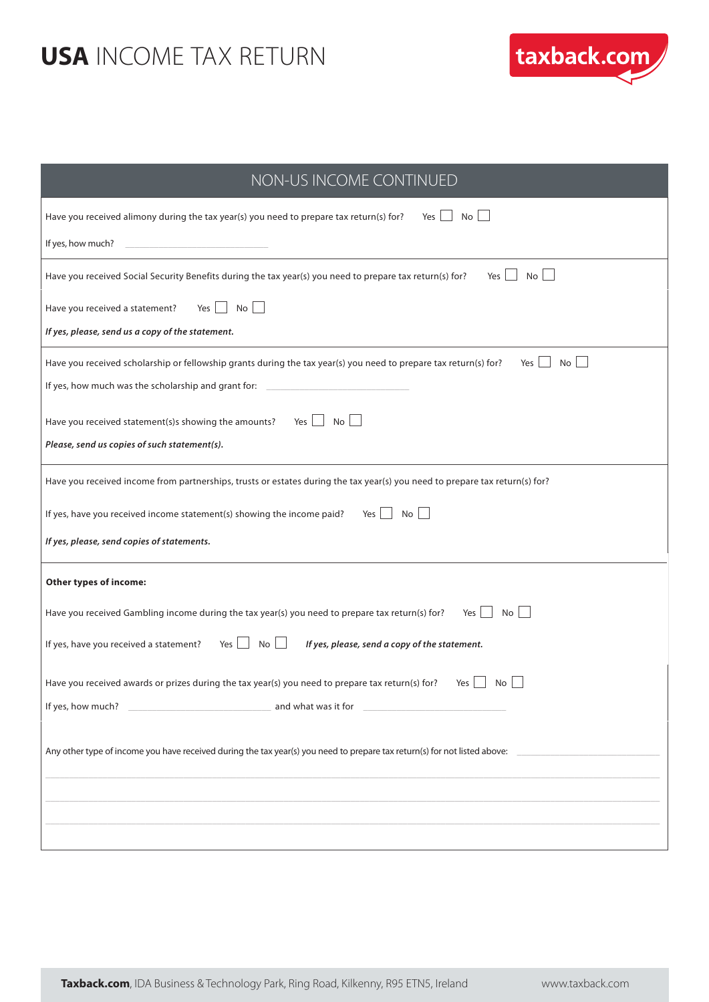

| NON-US INCOME CONTINUED                                                                                                                                |
|--------------------------------------------------------------------------------------------------------------------------------------------------------|
| Have you received alimony during the tax year(s) you need to prepare tax return(s) for?<br>No <sub>1</sub><br>Yes                                      |
| If yes, how much?                                                                                                                                      |
| $No$ $\Box$<br>Have you received Social Security Benefits during the tax year(s) you need to prepare tax return(s) for?<br>Yes                         |
| Yes $\vert$<br>No <sub>1</sub><br>Have you received a statement?                                                                                       |
| If yes, please, send us a copy of the statement.                                                                                                       |
| Have you received scholarship or fellowship grants during the tax year(s) you need to prepare tax return(s) for?<br>Yes<br>No                          |
| If yes, how much was the scholarship and grant for: __________                                                                                         |
| Yes $\Box$ No $\Box$<br>Have you received statement(s)s showing the amounts?                                                                           |
| Please, send us copies of such statement(s).                                                                                                           |
| Have you received income from partnerships, trusts or estates during the tax year(s) you need to prepare tax return(s) for?                            |
| Yes No<br>If yes, have you received income statement(s) showing the income paid?                                                                       |
| If yes, please, send copies of statements.                                                                                                             |
| Other types of income:                                                                                                                                 |
| $Yes \tNo$<br>Have you received Gambling income during the tax year(s) you need to prepare tax return(s) for?                                          |
| Yes<br>$\overline{\phantom{a}}$ No $\overline{\phantom{a}}$<br>If yes, have you received a statement?<br>If yes, please, send a copy of the statement. |
| Have you received awards or prizes during the tax year(s) you need to prepare tax return(s) for?<br>Yes<br>No                                          |
| If yes, how much?<br>and what was it for                                                                                                               |
| Any other type of income you have received during the tax year(s) you need to prepare tax return(s) for not listed above:                              |
|                                                                                                                                                        |
|                                                                                                                                                        |
|                                                                                                                                                        |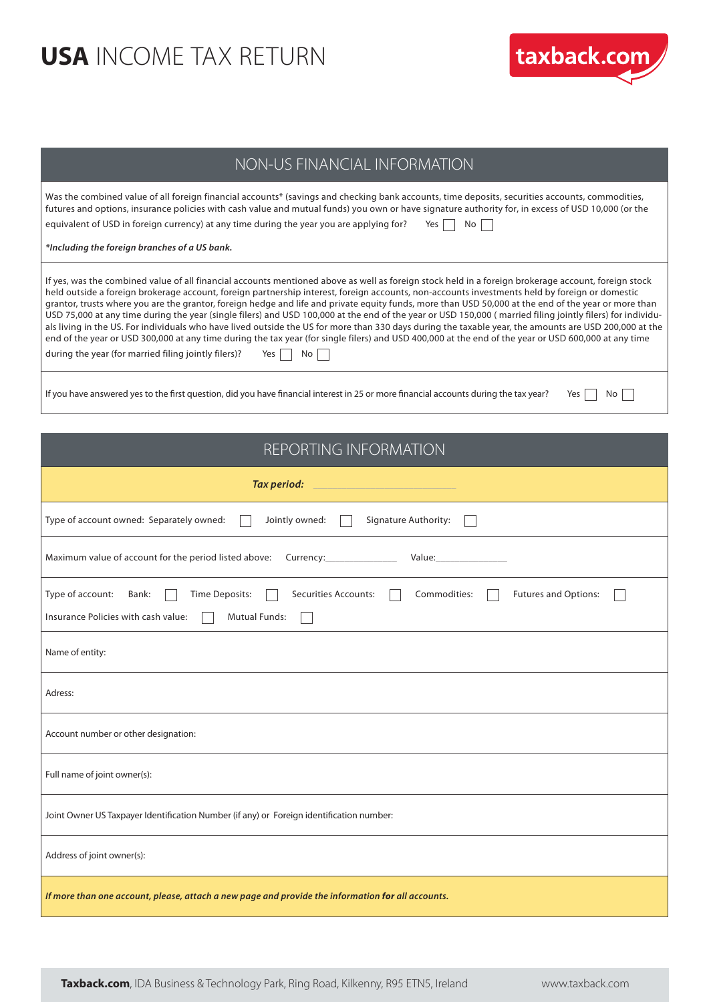

#### NON-US FINANCIAL INFORMATION

| Was the combined value of all foreign financial accounts* (savings and checking bank accounts, time deposits, securities accounts, commodities,<br>futures and options, insurance policies with cash value and mutual funds) you own or have signature authority for, in excess of USD 10,000 (or the<br>equivalent of USD in foreign currency) at any time during the year you are applying for?<br>Yes No |
|-------------------------------------------------------------------------------------------------------------------------------------------------------------------------------------------------------------------------------------------------------------------------------------------------------------------------------------------------------------------------------------------------------------|
| *Including the foreign branches of a US bank.                                                                                                                                                                                                                                                                                                                                                               |
| If yes, was the combined value of all financial accounts mentioned above as well as foreign stock held in a foreign brokerage account, foreign stock<br>held outside a foreign brokerage account, foreign partnership interest, foreign accounts, non-accounts investments held by foreign or domestic                                                                                                      |

grantor, trusts where you are the grantor, foreign hedge and life and private equity funds, more than USD 50,000 at the end of the year or more than USD 75,000 at any time during the year (single filers) and USD 100,000 at the end of the year or USD 150,000 ( married filing jointly filers) for individuals living in the US. For individuals who have lived outside the US for more than 330 days during the taxable year, the amounts are USD 200,000 at the end of the year or USD 300,000 at any time during the tax year (for single filers) and USD 400,000 at the end of the year or USD 600,000 at any time during the year (for married filing jointly filers)? Yes  $\Box$  No  $\Box$ 

If you have answered yes to the first question, did you have financial interest in 25 or more financial accounts during the tax year? Yes  $\Box$  No  $\Box$ 

| REPORTING INFORMATION                                                                                                                                                      |  |  |  |  |
|----------------------------------------------------------------------------------------------------------------------------------------------------------------------------|--|--|--|--|
| Tax period:                                                                                                                                                                |  |  |  |  |
| Type of account owned: Separately owned:<br>Signature Authority:<br>Jointly owned:                                                                                         |  |  |  |  |
| Maximum value of account for the period listed above:<br>Value:                                                                                                            |  |  |  |  |
| Type of account:<br>Securities Accounts:<br>Commodities:<br>Futures and Options:<br>Bank:<br>Time Deposits:<br>Insurance Policies with cash value:<br><b>Mutual Funds:</b> |  |  |  |  |
| Name of entity:                                                                                                                                                            |  |  |  |  |
| Adress:                                                                                                                                                                    |  |  |  |  |
| Account number or other designation:                                                                                                                                       |  |  |  |  |
| Full name of joint owner(s):                                                                                                                                               |  |  |  |  |
| Joint Owner US Taxpayer Identification Number (if any) or Foreign identification number:                                                                                   |  |  |  |  |
| Address of joint owner(s):                                                                                                                                                 |  |  |  |  |
| If more than one account, please, attach a new page and provide the information for all accounts.                                                                          |  |  |  |  |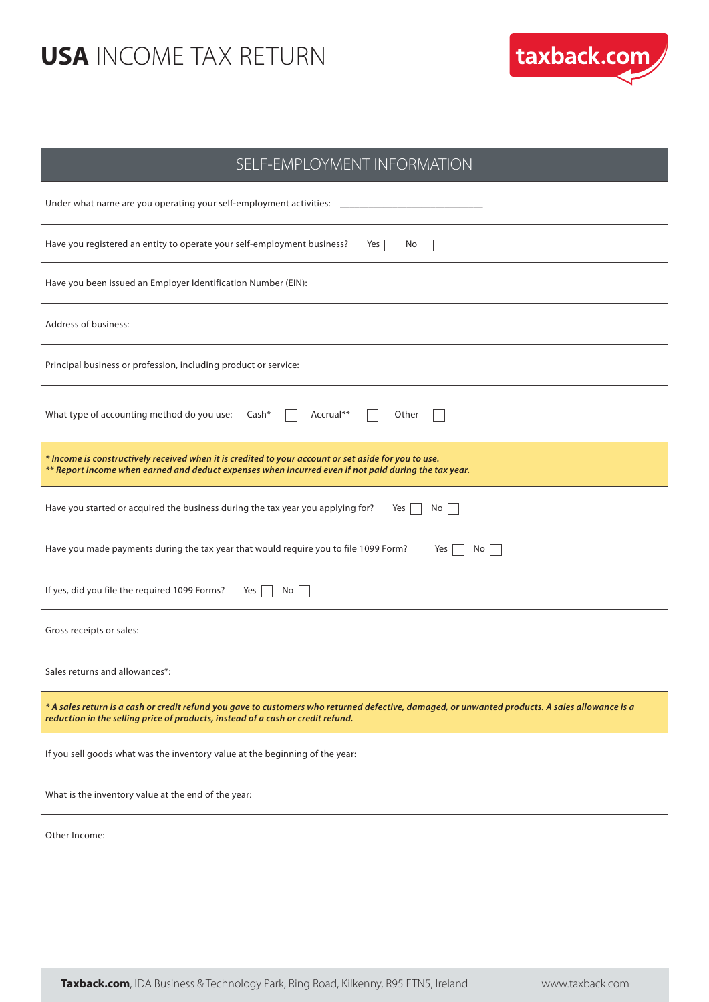

| SELF-EMPLOYMENT INFORMATION                                                                                                                                                                                                        |
|------------------------------------------------------------------------------------------------------------------------------------------------------------------------------------------------------------------------------------|
| Under what name are you operating your self-employment activities: ________________________________                                                                                                                                |
| Have you registered an entity to operate your self-employment business?<br>Yes $\Box$ No $\Box$                                                                                                                                    |
| Have you been issued an Employer Identification Number (EIN):                                                                                                                                                                      |
| Address of business:                                                                                                                                                                                                               |
| Principal business or profession, including product or service:                                                                                                                                                                    |
| What type of accounting method do you use: Cash*<br>Accrual**<br>Other                                                                                                                                                             |
| * Income is constructively received when it is credited to your account or set aside for you to use.<br>** Report income when earned and deduct expenses when incurred even if not paid during the tax year.                       |
| Have you started or acquired the business during the tax year you applying for?<br>Yes<br>No <sub>1</sub>                                                                                                                          |
| Have you made payments during the tax year that would require you to file 1099 Form?<br>Yes  <br>No                                                                                                                                |
| If yes, did you file the required 1099 Forms?<br>No <sub>1</sub><br>Yes                                                                                                                                                            |
| Gross receipts or sales:                                                                                                                                                                                                           |
| Sales returns and allowances*:                                                                                                                                                                                                     |
| * A sales return is a cash or credit refund you gave to customers who returned defective, damaged, or unwanted products. A sales allowance is a<br>reduction in the selling price of products, instead of a cash or credit refund. |
| If you sell goods what was the inventory value at the beginning of the year:                                                                                                                                                       |
| What is the inventory value at the end of the year:                                                                                                                                                                                |
| Other Income:                                                                                                                                                                                                                      |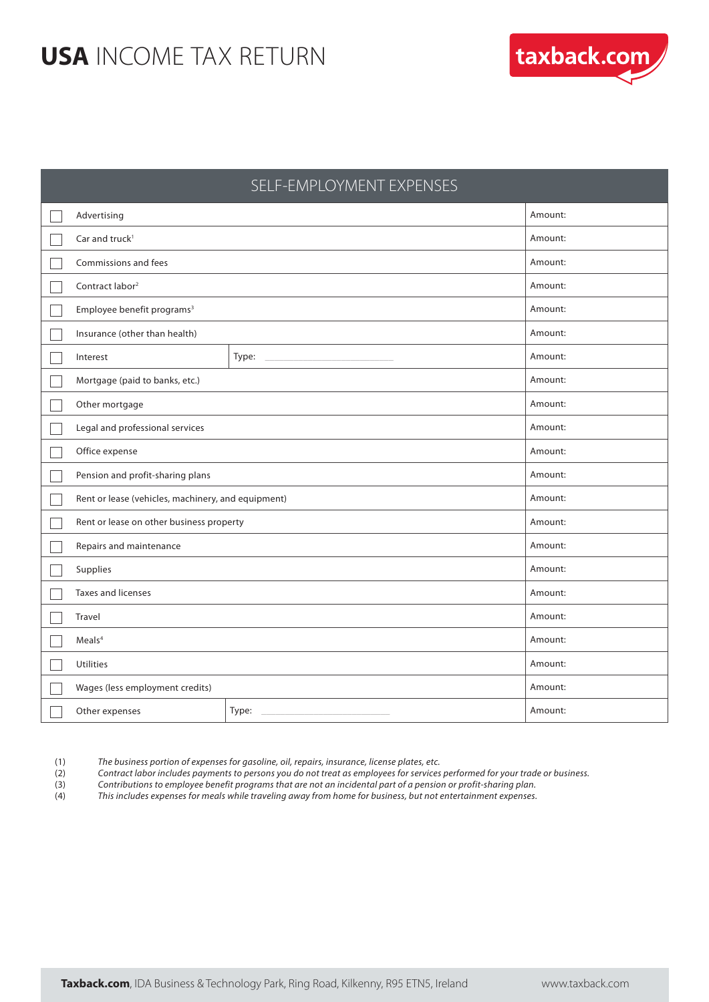

|                                                    | SELF-EMPLOYMENT EXPENSES |         |  |  |
|----------------------------------------------------|--------------------------|---------|--|--|
| Advertising                                        | Amount:                  |         |  |  |
| Car and truck <sup>1</sup>                         |                          | Amount: |  |  |
| Commissions and fees                               |                          | Amount: |  |  |
| Contract labor <sup>2</sup>                        |                          | Amount: |  |  |
| Employee benefit programs <sup>3</sup>             |                          | Amount: |  |  |
| Insurance (other than health)                      | Amount:                  |         |  |  |
| Interest                                           | Type:                    | Amount: |  |  |
| Mortgage (paid to banks, etc.)                     | Amount:                  |         |  |  |
| Other mortgage                                     | Amount:                  |         |  |  |
| Legal and professional services                    | Amount:                  |         |  |  |
| Office expense                                     | Amount:                  |         |  |  |
| Pension and profit-sharing plans                   | Amount:                  |         |  |  |
| Rent or lease (vehicles, machinery, and equipment) | Amount:                  |         |  |  |
| Rent or lease on other business property           | Amount:                  |         |  |  |
| Repairs and maintenance                            | Amount:                  |         |  |  |
| Supplies                                           | Amount:                  |         |  |  |
| <b>Taxes and licenses</b>                          | Amount:                  |         |  |  |
| Travel                                             | Amount:                  |         |  |  |
| Meals <sup>4</sup><br>Amount:                      |                          |         |  |  |
| <b>Utilities</b>                                   |                          | Amount: |  |  |
| Wages (less employment credits)                    |                          | Amount: |  |  |
| Other expenses                                     | Type:                    | Amount: |  |  |

(1) The business portion of expenses for gasoline, oil, repairs, insurance, license plates, etc.

(2) Contract labor includes payments to persons you do not treat as employees for services performed for your trade or business.

(3) Contributions to employee benefit programs that are not an incidental part of a pension or profit-sharing plan.<br>(4) This includes expenses for meals while traveling away from home for business, but not entertainment ex

This includes expenses for meals while traveling away from home for business, but not entertainment expenses.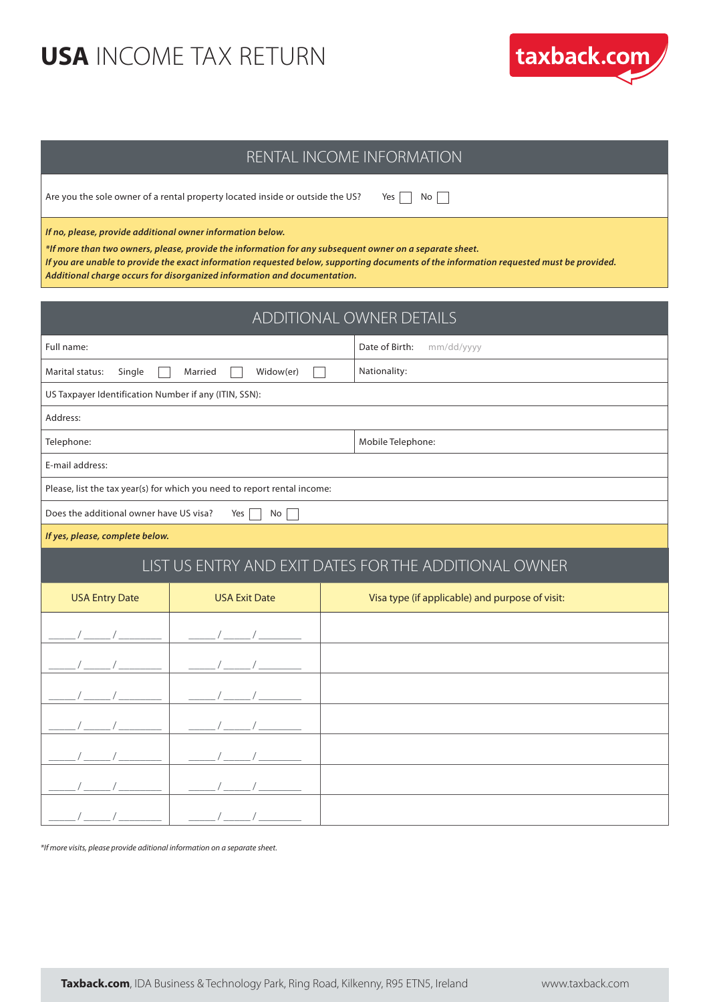

Are you the sole owner of a rental property located inside or outside the US? Yes  $\Box$  No  $\Box$ 

*If no, please, provide additional owner information below.*

*\*If more than two owners, please, provide the information for any subsequent owner on a separate sheet.*

*If you are unable to provide the exact information requested below, supporting documents of the information requested must be provided. Additional charge occurs for disorganized information and documentation.* 

| ADDITIONAL OWNER DETAILS                              |                                                                          |                                                       |  |  |
|-------------------------------------------------------|--------------------------------------------------------------------------|-------------------------------------------------------|--|--|
| Full name:                                            |                                                                          | Date of Birth:<br>mm/dd/yyyy                          |  |  |
| Marital status:<br>Single                             | Widow(er)<br>Married                                                     | Nationality:                                          |  |  |
| US Taxpayer Identification Number if any (ITIN, SSN): |                                                                          |                                                       |  |  |
| Address:                                              |                                                                          |                                                       |  |  |
| Telephone:                                            |                                                                          | Mobile Telephone:                                     |  |  |
| E-mail address:                                       |                                                                          |                                                       |  |  |
|                                                       | Please, list the tax year(s) for which you need to report rental income: |                                                       |  |  |
| Does the additional owner have US visa?               | No<br>Yes                                                                |                                                       |  |  |
| If yes, please, complete below.                       |                                                                          |                                                       |  |  |
|                                                       |                                                                          | LIST US ENTRY AND EXIT DATES FOR THE ADDITIONAL OWNER |  |  |
| <b>USA Entry Date</b>                                 | <b>USA Exit Date</b>                                                     | Visa type (if applicable) and purpose of visit:       |  |  |
|                                                       |                                                                          |                                                       |  |  |
|                                                       |                                                                          |                                                       |  |  |
|                                                       |                                                                          |                                                       |  |  |
|                                                       |                                                                          |                                                       |  |  |
|                                                       |                                                                          |                                                       |  |  |
|                                                       |                                                                          |                                                       |  |  |
|                                                       |                                                                          |                                                       |  |  |

*\*If more visits, please provide aditional information on a separate sheet.*

taxback.com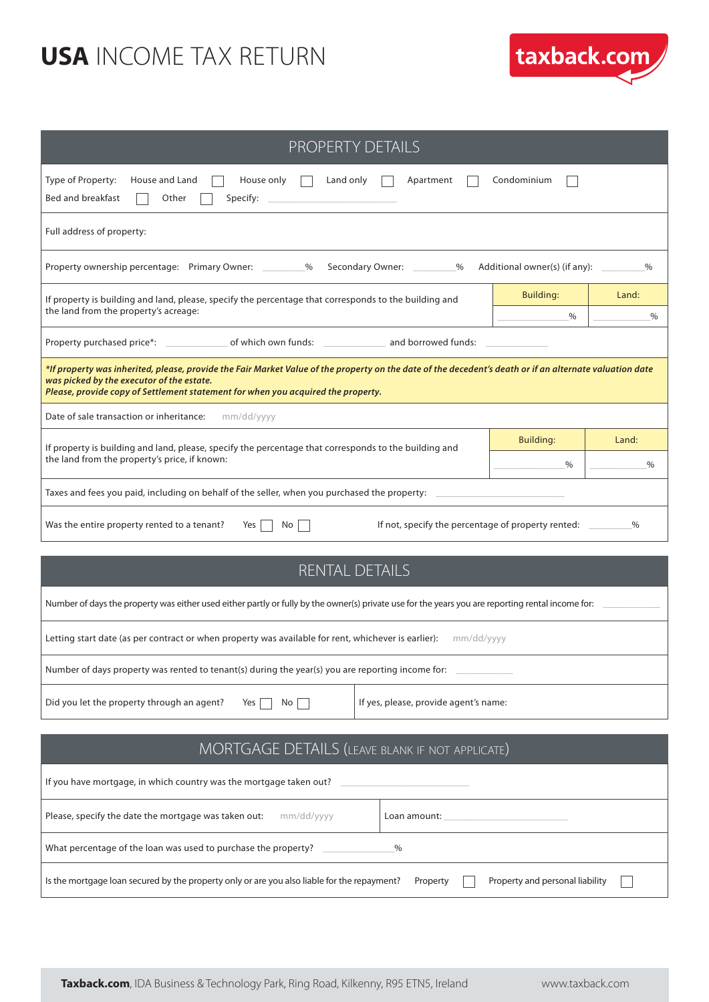

| <b>PROPERTY DETAILS</b>                                                                                                                                                                                                                                                                  |                                 |               |  |  |
|------------------------------------------------------------------------------------------------------------------------------------------------------------------------------------------------------------------------------------------------------------------------------------------|---------------------------------|---------------|--|--|
| Type of Property:<br>House and Land<br>House only<br>Apartment<br>Condominium<br>Land only<br><b>Bed and breakfast</b><br>Specify: $\overline{\phantom{a}}$<br>Other                                                                                                                     |                                 |               |  |  |
| Full address of property:                                                                                                                                                                                                                                                                |                                 |               |  |  |
| Property ownership percentage: Primary Owner: __________%<br>Secondary Owner: _________%                                                                                                                                                                                                 | Additional owner(s) (if any): _ | $\%$          |  |  |
| If property is building and land, please, specify the percentage that corresponds to the building and<br>the land from the property's acreage:                                                                                                                                           | Building:<br>$\%$               | Land:<br>$\%$ |  |  |
|                                                                                                                                                                                                                                                                                          |                                 |               |  |  |
| *If property was inherited, please, provide the Fair Market Value of the property on the date of the decedent's death or if an alternate valuation date<br>was picked by the executor of the estate.<br>Please, provide copy of Settlement statement for when you acquired the property. |                                 |               |  |  |
| Date of sale transaction or inheritance:<br>mm/dd/yyyy                                                                                                                                                                                                                                   |                                 |               |  |  |
| If property is building and land, please, specify the percentage that corresponds to the building and                                                                                                                                                                                    | Building:                       | Land:         |  |  |
| the land from the property's price, if known:                                                                                                                                                                                                                                            | $\%$                            | $\%$          |  |  |
| Taxes and fees you paid, including on behalf of the seller, when you purchased the property: __                                                                                                                                                                                          |                                 |               |  |  |
| If not, specify the percentage of property rented:<br>Was the entire property rented to a tenant?<br>No<br><b>Yes</b>                                                                                                                                                                    |                                 | %             |  |  |
| <b>RENTAL DETAILS</b>                                                                                                                                                                                                                                                                    |                                 |               |  |  |
| Number of days the property was either used either partly or fully by the owner(s) private use for the years you are reporting rental income for:                                                                                                                                        |                                 |               |  |  |
| Letting start date (as per contract or when property was available for rent, whichever is earlier): mm/dd/yyyy                                                                                                                                                                           |                                 |               |  |  |
| Number of days property was rented to tenant(s) during the year(s) you are reporting income for:                                                                                                                                                                                         |                                 |               |  |  |
| If yes, please, provide agent's name:<br>Did you let the property through an agent?<br>No<br>Yes                                                                                                                                                                                         |                                 |               |  |  |
|                                                                                                                                                                                                                                                                                          |                                 |               |  |  |
| MORTGAGE DETAILS (LEAVE BLANK IF NOT APPLICATE)                                                                                                                                                                                                                                          |                                 |               |  |  |
| If you have mortgage, in which country was the mortgage taken out?                                                                                                                                                                                                                       |                                 |               |  |  |
| Please, specify the date the mortgage was taken out:<br>mm/dd/yyyy<br>Loan amount: _                                                                                                                                                                                                     |                                 |               |  |  |
| What percentage of the loan was used to purchase the property?<br>%                                                                                                                                                                                                                      |                                 |               |  |  |

Is the mortgage loan secured by the property only or are you also liable for the repayment? Property **Property and personal liability** 

 $\Box$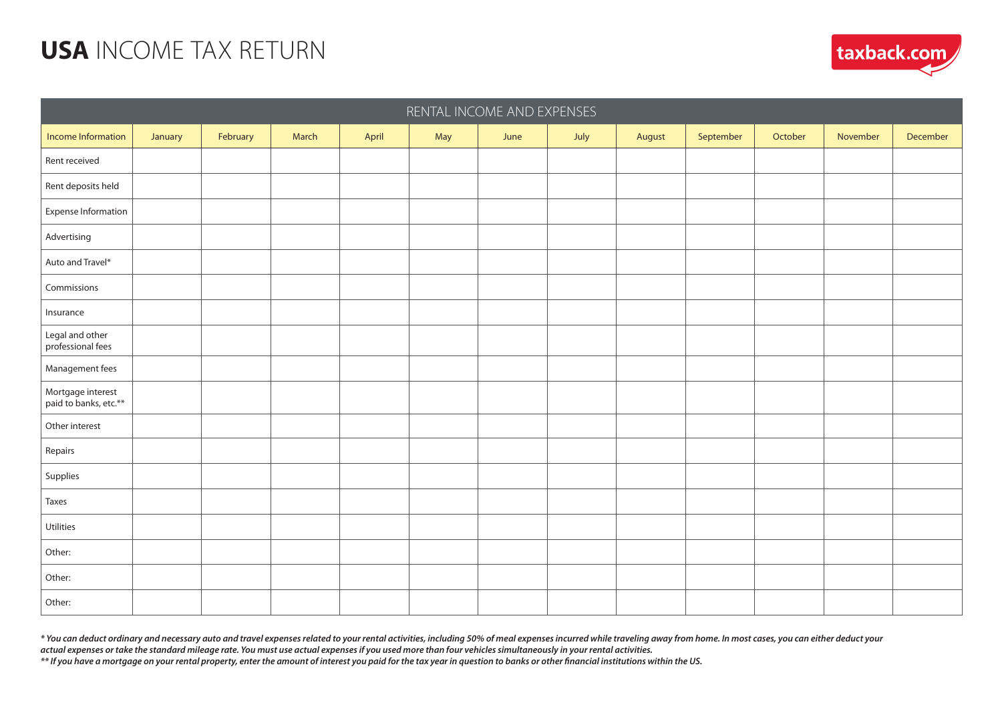| RENTAL INCOME AND EXPENSES                 |         |          |       |       |     |      |      |        |           |         |          |          |
|--------------------------------------------|---------|----------|-------|-------|-----|------|------|--------|-----------|---------|----------|----------|
| Income Information                         | January | February | March | April | May | June | July | August | September | October | November | December |
| Rent received                              |         |          |       |       |     |      |      |        |           |         |          |          |
| Rent deposits held                         |         |          |       |       |     |      |      |        |           |         |          |          |
| Expense Information                        |         |          |       |       |     |      |      |        |           |         |          |          |
| Advertising                                |         |          |       |       |     |      |      |        |           |         |          |          |
| Auto and Travel*                           |         |          |       |       |     |      |      |        |           |         |          |          |
| Commissions                                |         |          |       |       |     |      |      |        |           |         |          |          |
| Insurance                                  |         |          |       |       |     |      |      |        |           |         |          |          |
| Legal and other<br>professional fees       |         |          |       |       |     |      |      |        |           |         |          |          |
| Management fees                            |         |          |       |       |     |      |      |        |           |         |          |          |
| Mortgage interest<br>paid to banks, etc.** |         |          |       |       |     |      |      |        |           |         |          |          |
| Other interest                             |         |          |       |       |     |      |      |        |           |         |          |          |
| Repairs                                    |         |          |       |       |     |      |      |        |           |         |          |          |
| Supplies                                   |         |          |       |       |     |      |      |        |           |         |          |          |
| Taxes                                      |         |          |       |       |     |      |      |        |           |         |          |          |
| Utilities                                  |         |          |       |       |     |      |      |        |           |         |          |          |
| Other:                                     |         |          |       |       |     |      |      |        |           |         |          |          |
| Other:                                     |         |          |       |       |     |      |      |        |           |         |          |          |
| Other:                                     |         |          |       |       |     |      |      |        |           |         |          |          |

*\* You can deduct ordinary and necessary auto and travel expenses related to your rental activities, including 50% of meal expenses incurred while traveling away from home. In most cases, you can either deduct your actual expenses or take the standard mileage rate. You must use actual expenses if you used more than four vehicles simultaneously in your rental activities.*

*\*\* If you have a mortgage on your rental property, enter the amount of interest you paid for the tax year in question to banks or other financial institutions within the US.*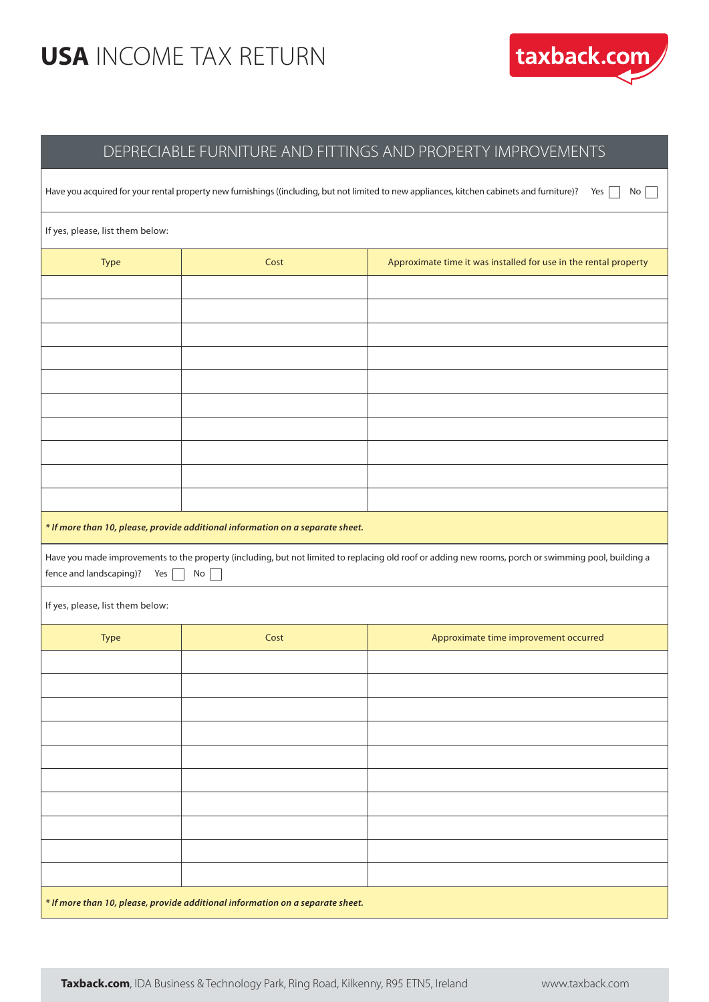

#### DEPRECIABLE FURNITURE AND FITTINGS AND PROPERTY IMPROVEMENTS

| Have you acquired for your rental property new furnishings ((including, but not limited to new appliances, kitchen cabinets and furniture)?<br>Yes<br>No |                                                                                                                                                                   |                                                                  |  |  |  |  |  |  |
|----------------------------------------------------------------------------------------------------------------------------------------------------------|-------------------------------------------------------------------------------------------------------------------------------------------------------------------|------------------------------------------------------------------|--|--|--|--|--|--|
| If yes, please, list them below:                                                                                                                         |                                                                                                                                                                   |                                                                  |  |  |  |  |  |  |
| Type                                                                                                                                                     | Cost                                                                                                                                                              | Approximate time it was installed for use in the rental property |  |  |  |  |  |  |
|                                                                                                                                                          |                                                                                                                                                                   |                                                                  |  |  |  |  |  |  |
|                                                                                                                                                          |                                                                                                                                                                   |                                                                  |  |  |  |  |  |  |
|                                                                                                                                                          |                                                                                                                                                                   |                                                                  |  |  |  |  |  |  |
|                                                                                                                                                          |                                                                                                                                                                   |                                                                  |  |  |  |  |  |  |
|                                                                                                                                                          |                                                                                                                                                                   |                                                                  |  |  |  |  |  |  |
|                                                                                                                                                          |                                                                                                                                                                   |                                                                  |  |  |  |  |  |  |
|                                                                                                                                                          |                                                                                                                                                                   |                                                                  |  |  |  |  |  |  |
|                                                                                                                                                          | * If more than 10, please, provide additional information on a separate sheet.                                                                                    |                                                                  |  |  |  |  |  |  |
| fence and landscaping)?<br>Yes                                                                                                                           | Have you made improvements to the property (including, but not limited to replacing old roof or adding new rooms, porch or swimming pool, building a<br>No<br>- 1 |                                                                  |  |  |  |  |  |  |
| If yes, please, list them below:                                                                                                                         |                                                                                                                                                                   |                                                                  |  |  |  |  |  |  |
| Type                                                                                                                                                     | Cost                                                                                                                                                              | Approximate time improvement occurred                            |  |  |  |  |  |  |
|                                                                                                                                                          |                                                                                                                                                                   |                                                                  |  |  |  |  |  |  |
|                                                                                                                                                          |                                                                                                                                                                   |                                                                  |  |  |  |  |  |  |
|                                                                                                                                                          |                                                                                                                                                                   |                                                                  |  |  |  |  |  |  |
|                                                                                                                                                          |                                                                                                                                                                   |                                                                  |  |  |  |  |  |  |
|                                                                                                                                                          |                                                                                                                                                                   |                                                                  |  |  |  |  |  |  |
|                                                                                                                                                          |                                                                                                                                                                   |                                                                  |  |  |  |  |  |  |
|                                                                                                                                                          |                                                                                                                                                                   |                                                                  |  |  |  |  |  |  |
|                                                                                                                                                          | * If more than 10, please, provide additional information on a separate sheet.                                                                                    |                                                                  |  |  |  |  |  |  |
|                                                                                                                                                          |                                                                                                                                                                   |                                                                  |  |  |  |  |  |  |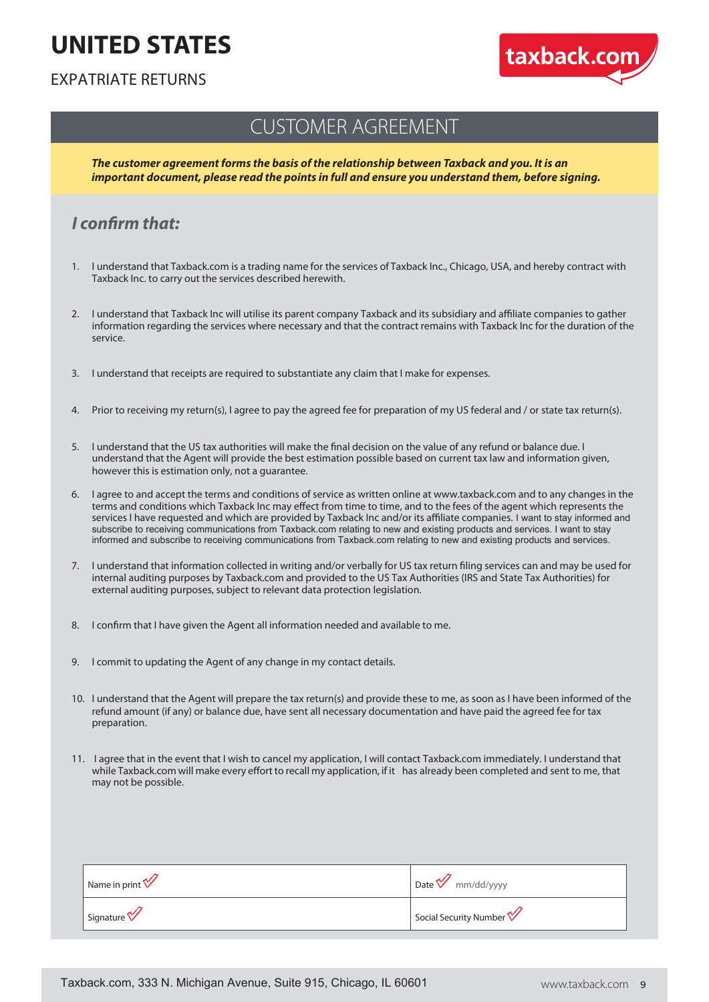# **UNITED STATES**



#### EXPATRIATE RETURNS

#### CUSTOMER AGREEMENT

*The customer agreement forms the basis of the relationship between Taxback and you. It is an important document, please read the points in full and ensure you understand them, before signing.*

#### *I confirm that:*

- 1. I understand that Taxback.com is a trading name for the services of Taxback Inc., Chicago, USA, and hereby contract with Taxback Inc. to carry out the services described herewith.
- 2. I understand that Taxback Inc will utilise its parent company Taxback and its subsidiary and affiliate companies to gather information regarding the services where necessary and that the contract remains with Taxback Inc for the duration of the service.
- 3. I understand that receipts are required to substantiate any claim that I make for expenses.
- 4. Prior to receiving my return(s), I agree to pay the agreed fee for preparation of my US federal and / or state tax return(s).
- 5. I understand that the US tax authorities will make the final decision on the value of any refund or balance due. I understand that the Agent will provide the best estimation possible based on current tax law and information given, however this is estimation only, not a guarantee.
- 6. I agree to and accept the terms and conditions of service as written online at www.taxback.com and to any changes in the terms and conditions which Taxback Inc may effect from time to time, and to the fees of the agent which represents the services I have requested and which are provided by Taxback Inc and/or its affiliate companies. I want to stay informed and subscribe to receiving communications from Taxback.com relating to new and existing products and services. I want to stay informed and subscribe to receiving communications from Taxback.com relating to new and existing products and services.
- 7. I understand that information collected in writing and/or verbally for US tax return filing services can and may be used for internal auditing purposes by Taxback.com and provided to the US Tax Authorities (IRS and State Tax Authorities) for external auditing purposes, subject to relevant data protection legislation.
- 8. I confirm that I have given the Agent all information needed and available to me.
- 9. I commit to updating the Agent of any change in my contact details.
- 10. I understand that the Agent will prepare the tax return(s) and provide these to me, as soon as I have been informed of the refund amount (if any) or balance due, have sent all necessary documentation and have paid the agreed fee for tax preparation.
- 11. I agree that in the event that I wish to cancel my application, I will contact Taxback.com immediately. I understand that while Taxback.com will make every effort to recall my application, if it has already been completed and sent to me, that may not be possible.

| Name in print          | $ $ Date $\mathcal V$ mm/dd/yyyy    |
|------------------------|-------------------------------------|
| Signature <sup>V</sup> | Social Security Number <sup>V</sup> |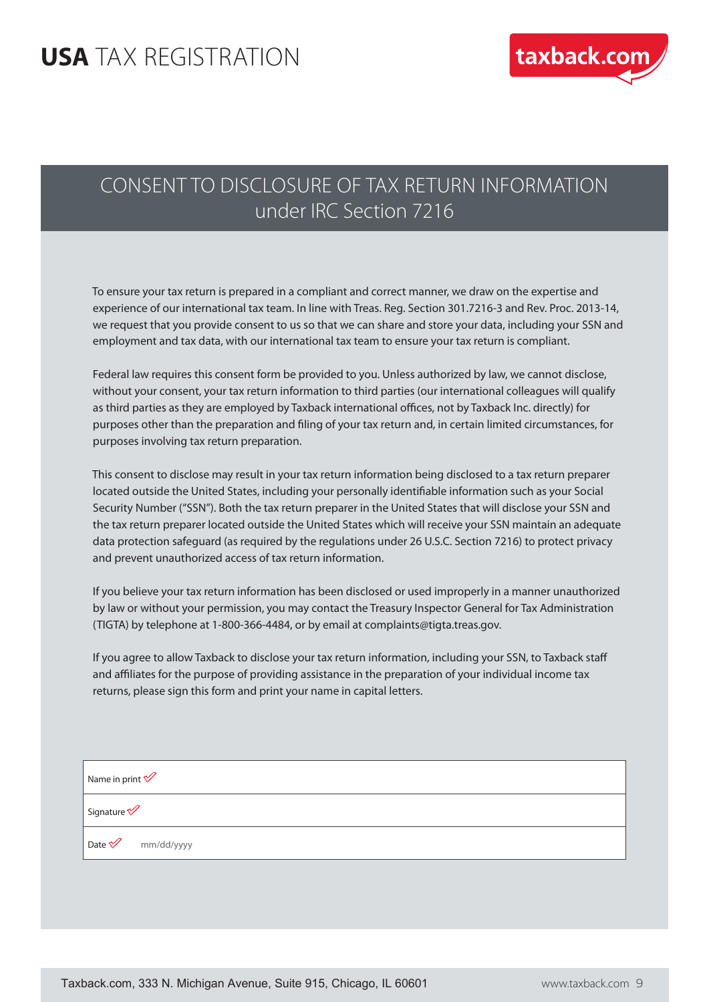#### **USA** TAX REGISTRATION



#### CONSENT TO DISCLOSURE OF TAX RETURN INFORMATION under IRC Section 7216

 To ensure your tax return is prepared in a compliant and correct manner, we draw on the expertise and experience of our international tax team. In line with Treas. Reg. Section 301.7216-3 and Rev. Proc. 2013-14, we request that you provide consent to us so that we can share and store your data, including your SSN and employment and tax data, with our international tax team to ensure your tax return is compliant.

 Federal law requires this consent form be provided to you. Unless authorized by law, we cannot disclose, without your consent, your tax return information to third parties (our international colleagues will qualify as third parties as they are employed by Taxback international offices, not by Taxback Inc. directly) for purposes other than the preparation and filing of your tax return and, in certain limited circumstances, for purposes involving tax return preparation.

 This consent to disclose may result in your tax return information being disclosed to a tax return preparer located outside the United States, including your personally identifiable information such as your Social Security Number ("SSN"). Both the tax return preparer in the United States that will disclose your SSN and the tax return preparer located outside the United States which will receive your SSN maintain an adequate data protection safeguard (as required by the regulations under 26 U.S.C. Section 7216) to protect privacy and prevent unauthorized access of tax return information.

 If you believe your tax return information has been disclosed or used improperly in a manner unauthorized by law or without your permission, you may contact the Treasury Inspector General for Tax Administration (TIGTA) by telephone at 1-800-366-4484, or by email at complaints@tigta.treas.gov.

 If you agree to allow Taxback to disclose your tax return information, including your SSN, to Taxback staff and affiliates for the purpose of providing assistance in the preparation of your individual income tax returns, please sign this form and print your name in capital letters.

Name in print  $\mathscr V$ Signature<sup></sup> Date  $\mathscr V$  mm/dd/yyyy